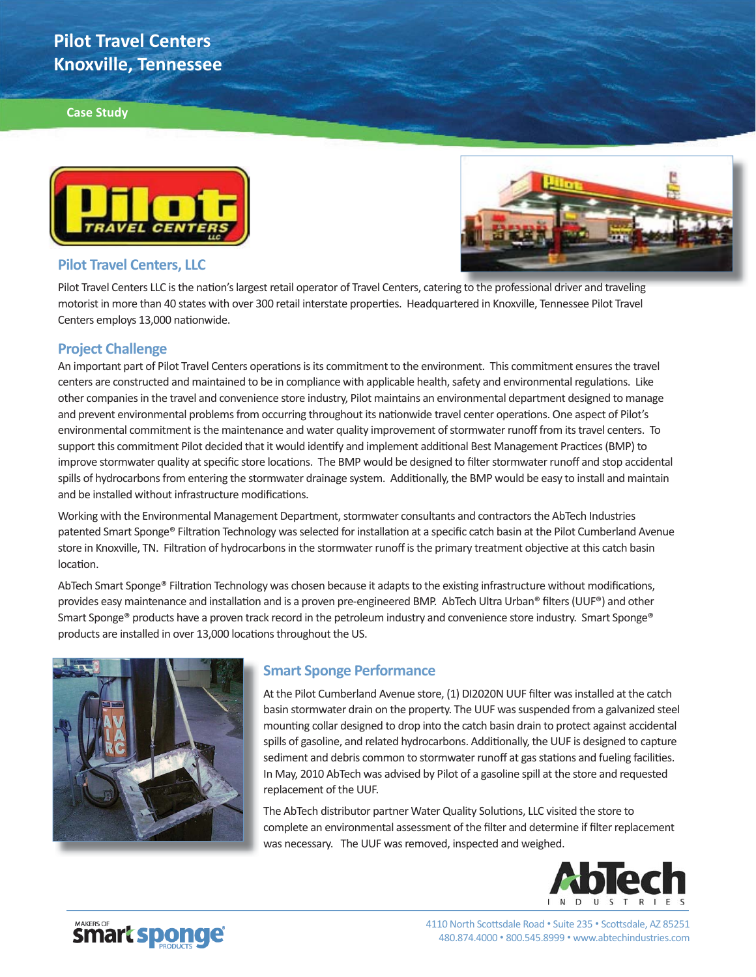# **Pilot Travel Centers Knoxville, Tennessee**

#### **Case Study**





#### **Pilot Travel Centers, LLC**

Pilot Travel Centers LLC is the nation's largest retail operator of Travel Centers, catering to the professional driver and traveling motorist in more than 40 states with over 300 retail interstate properties. Headquartered in Knoxville, Tennessee Pilot Travel Centers employs 13,000 nationwide.

### **Project Challenge**

An important part of Pilot Travel Centers operations is its commitment to the environment. This commitment ensures the travel centers are constructed and maintained to be in compliance with applicable health, safety and environmental regulations. Like other companies in the travel and convenience store industry, Pilot maintains an environmental department designed to manage and prevent environmental problems from occurring throughout its nationwide travel center operations. One aspect of Pilot's environmental commitment is the maintenance and water quality improvement of stormwater runoff from its travel centers. To support this commitment Pilot decided that it would identify and implement additional Best Management Practices (BMP) to improve stormwater quality at specific store locations. The BMP would be designed to filter stormwater runoff and stop accidental spills of hydrocarbons from entering the stormwater drainage system. Additionally, the BMP would be easy to install and maintain and be installed without infrastructure modifications.

Working with the Environmental Management Department, stormwater consultants and contractors the AbTech Industries patented Smart Sponge® Filtration Technology was selected for installation at a specific catch basin at the Pilot Cumberland Avenue store in Knoxville, TN. Filtration of hydrocarbons in the stormwater runoff is the primary treatment objective at this catch basin location.

AbTech Smart Sponge® Filtration Technology was chosen because it adapts to the existing infrastructure without modifications, provides easy maintenance and installation and is a proven pre-engineered BMP. AbTech Ultra Urban® filters (UUF®) and other Smart Sponge® products have a proven track record in the petroleum industry and convenience store industry. Smart Sponge® products are installed in over 13,000 locations throughout the US.



## **Smart Sponge Performance**

At the Pilot Cumberland Avenue store, (1) DI2020N UUF filter was installed at the catch basin stormwater drain on the property. The UUF was suspended from a galvanized steel mounting collar designed to drop into the catch basin drain to protect against accidental spills of gasoline, and related hydrocarbons. Additionally, the UUF is designed to capture sediment and debris common to stormwater runoff at gas stations and fueling facilities. In May, 2010 AbTech was advised by Pilot of a gasoline spill at the store and requested replacement of the UUF.

The AbTech distributor partner Water Quality Solutions, LLC visited the store to complete an environmental assessment of the filter and determine if filter replacement was necessary. The UUF was removed, inspected and weighed.